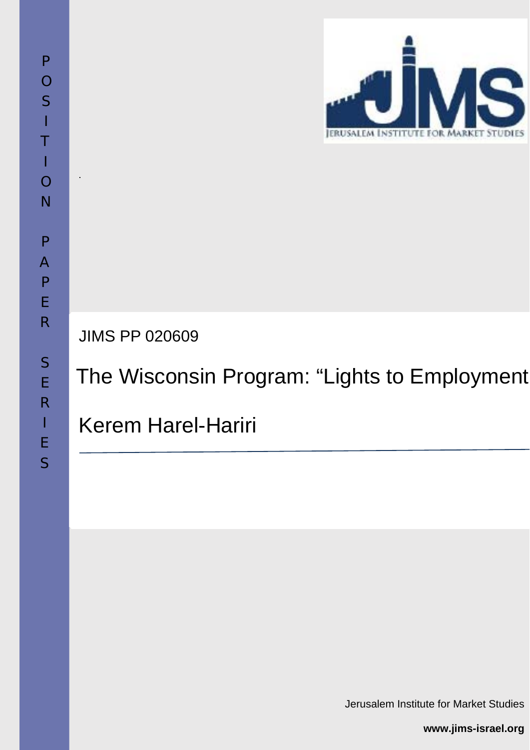

JIMS PP 020609

The Wisconsin Program: "Lights to Employment

Kerem Harel-Hariri

**www.jims-israel.org**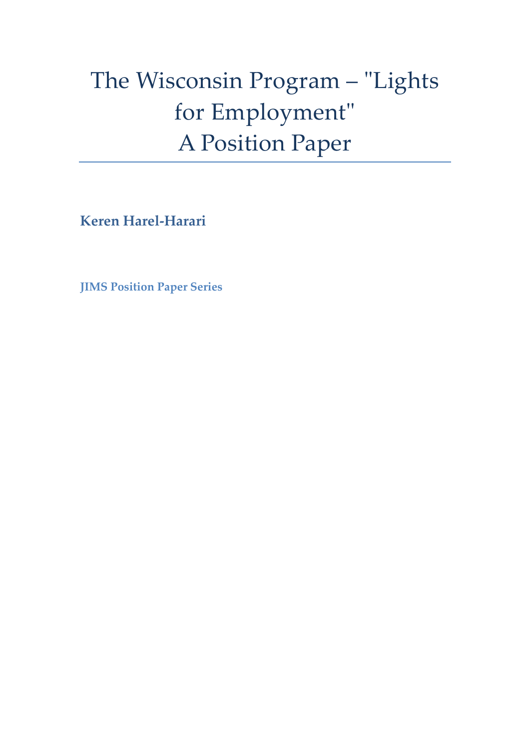# The Wisconsin Program - "Lights for Employment" A Position Paper

**Keren Harel‐Harari**

**JIMS Position Paper Series**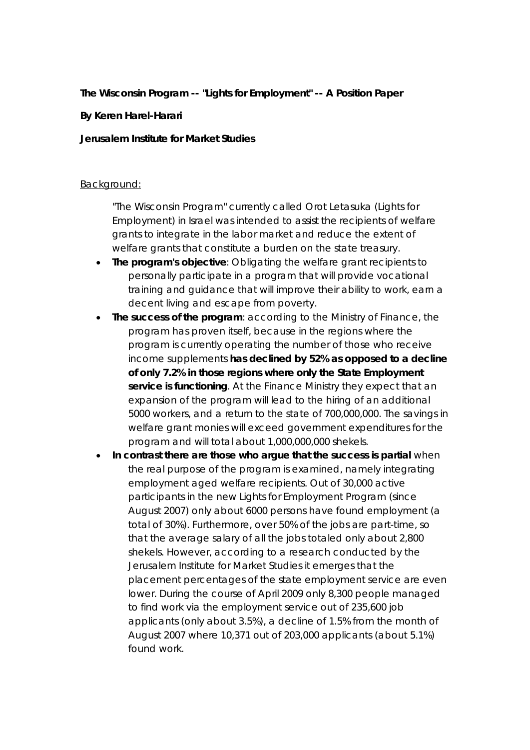### **The Wisconsin Program -- "Lights for Employment" -- A Position Paper**

#### **By Keren Harel-Harari**

#### **Jerusalem Institute for Market Studies**

#### Background:

"The Wisconsin Program" currently called *Orot Letasuka* (Lights for Employment) in Israel was intended to assist the recipients of welfare grants to integrate in the labor market and reduce the extent of welfare grants that constitute a burden on the state treasury.

- **The program's objective**: Obligating the welfare grant recipients to personally participate in a program that will provide vocational training and guidance that will improve their ability to work, earn a decent living and escape from poverty.
- **The success of the program**: according to the Ministry of Finance, the program has proven itself, because in the regions where the program is currently operating the number of those who receive income supplements **has declined by 52% as opposed to a decline of only 7.2% in those regions where only the State Employment service is functioning**. At the Finance Ministry they expect that an expansion of the program will lead to the hiring of an additional 5000 workers, and a return to the state of 700,000,000. The savings in welfare grant monies will exceed government expenditures for the program and will total about 1,000,000,000 shekels.
- **In contrast there are those who argue that the success is partial** when the real purpose of the program is examined, namely integrating employment aged welfare recipients. Out of 30,000 active participants in the new Lights for Employment Program (since August 2007) only about 6000 persons have found employment (a total of 30%). Furthermore, over 50% of the jobs are part-time, so that the average salary of all the jobs totaled only about 2,800 shekels. However, according to a research conducted by the Jerusalem Institute for Market Studies it emerges that the placement percentages of the state employment service are even lower. During the course of April 2009 only 8,300 people managed to find work via the employment service out of 235,600 job applicants (only about 3.5%), a decline of 1.5% from the month of August 2007 where 10,371 out of 203,000 applicants (about 5.1%) found work.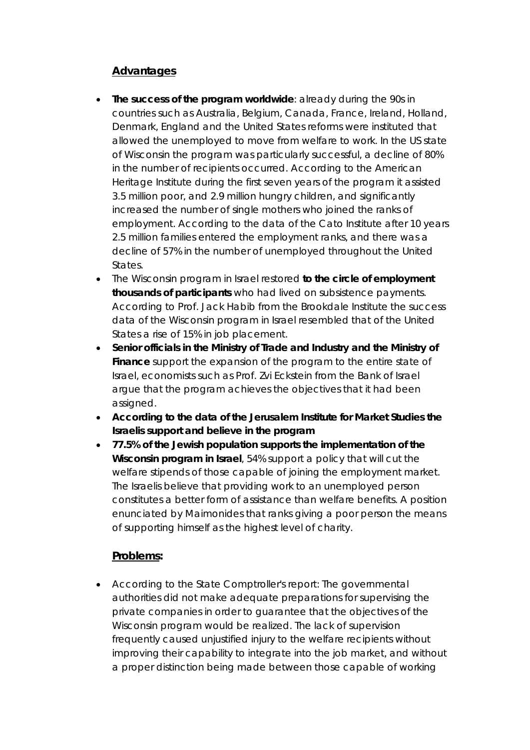# **Advantages**

- **The success of the program worldwide**: already during the 90s in countries such as Australia, Belgium, Canada, France, Ireland, Holland, Denmark, England and the United States reforms were instituted that allowed the unemployed to move from welfare to work. In the US state of Wisconsin the program was particularly successful, a decline of 80% in the number of recipients occurred. According to the American Heritage Institute during the first seven years of the program it assisted 3.5 million poor, and 2.9 million hungry children, and significantly increased the number of single mothers who joined the ranks of employment. According to the data of the Cato Institute after 10 years 2.5 million families entered the employment ranks, and there was a decline of 57% in the number of unemployed throughout the United States.
- The Wisconsin program in Israel restored **to the circle of employment thousands of participants** who had lived on subsistence payments. According to Prof. Jack Habib from the Brookdale Institute the success data of the Wisconsin program in Israel resembled that of the United States a rise of 15% in job placement.
- **Senior officials in the Ministry of Trade and Industry and the Ministry of Finance** support the expansion of the program to the entire state of Israel, economists such as Prof. Zvi Eckstein from the Bank of Israel argue that the program achieves the objectives that it had been assigned.
- **According to the data of the Jerusalem Institute for Market Studies the Israelis support and believe in the program**
- **77.5% of the Jewish population supports the implementation of the Wisconsin program in Israel**, 54% support a policy that will cut the welfare stipends of those capable of joining the employment market. The Israelis believe that providing work to an unemployed person constitutes a better form of assistance than welfare benefits. A position enunciated by Maimonides that ranks giving a poor person the means of supporting himself as the highest level of charity.

## **Problems:**

 According to the State Comptroller's report: The governmental authorities did not make adequate preparations for supervising the private companies in order to guarantee that the objectives of the Wisconsin program would be realized. The lack of supervision frequently caused unjustified injury to the welfare recipients without improving their capability to integrate into the job market, and without a proper distinction being made between those capable of working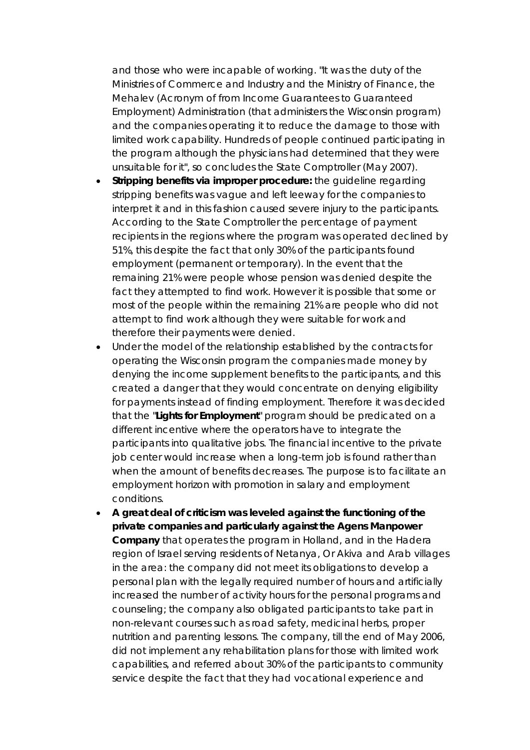and those who were incapable of working. "It was the duty of the Ministries of Commerce and Industry and the Ministry of Finance, the *Mehalev* (Acronym of from Income Guarantees to Guaranteed Employment) Administration (that administers the Wisconsin program) and the companies operating it to reduce the damage to those with limited work capability. Hundreds of people continued participating in the program although the physicians had determined that they were unsuitable for it", so concludes the State Comptroller (May 2007).

- **Stripping benefits via improper procedure:** the guideline regarding stripping benefits was vague and left leeway for the companies to interpret it and in this fashion caused severe injury to the participants. According to the State Comptroller the percentage of payment recipients in the regions where the program was operated declined by 51%, this despite the fact that only 30% of the participants found employment (permanent or temporary). In the event that the remaining 21% were people whose pension was denied despite the fact they attempted to find work. However it is possible that some or most of the people within the remaining 21% are people who did not attempt to find work although they were suitable for work and therefore their payments were denied.
- Under the model of the relationship established by the contracts for operating the Wisconsin program the companies made money by denying the income supplement benefits to the participants, and this created a danger that they would concentrate on denying eligibility for payments instead of finding employment. Therefore it was decided that the "**Lights for Employment**" program should be predicated on a different incentive where the operators have to integrate the participants into qualitative jobs. The financial incentive to the private job center would increase when a long-term job is found rather than when the amount of benefits decreases. The purpose is to facilitate an employment horizon with promotion in salary and employment conditions.
- **A great deal of criticism was leveled against the functioning of the private companies and particularly against the Agens Manpower Company** that operates the program in Holland, and in the Hadera region of Israel serving residents of Netanya, Or Akiva and Arab villages in the area: the company did not meet its obligations to develop a personal plan with the legally required number of hours and artificially increased the number of activity hours for the personal programs and counseling; the company also obligated participants to take part in non-relevant courses such as road safety, medicinal herbs, proper nutrition and parenting lessons. The company, till the end of May 2006, did not implement any rehabilitation plans for those with limited work capabilities, and referred about 30% of the participants to community service despite the fact that they had vocational experience and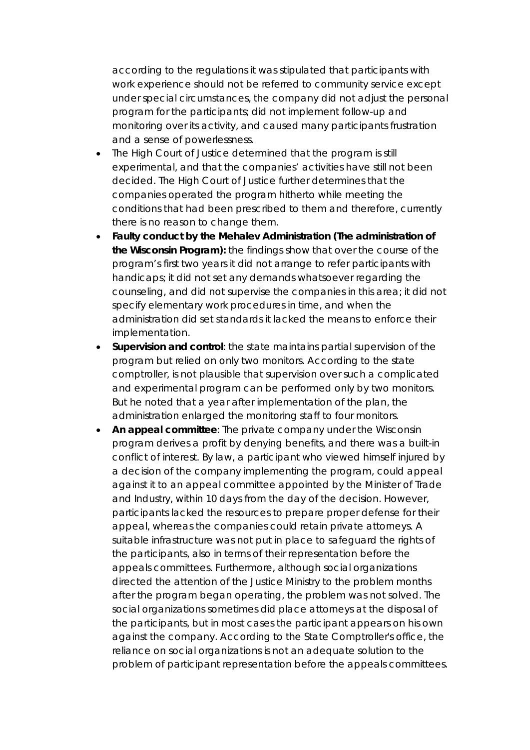according to the regulations it was stipulated that participants with work experience should not be referred to community service except under special circumstances, the company did not adjust the personal program for the participants; did not implement follow-up and monitoring over its activity, and caused many participants frustration and a sense of powerlessness.

- The High Court of Justice determined that the program is still experimental, and that the companies' activities have still not been decided. The High Court of Justice further determines that the companies operated the program hitherto while meeting the conditions that had been prescribed to them and therefore, currently there is no reason to change them.
- **Faulty conduct by the** *Mehalev* **Administration (The administration of the Wisconsin Program):** the findings show that over the course of the program's first two years it did not arrange to refer participants with handicaps; it did not set any demands whatsoever regarding the counseling, and did not supervise the companies in this area; it did not specify elementary work procedures in time, and when the administration did set standards it lacked the means to enforce their implementation.
- **Supervision and control**: the state maintains partial supervision of the program but relied on only two monitors. According to the state comptroller, is not plausible that supervision over such a complicated and experimental program can be performed only by two monitors. But he noted that a year after implementation of the plan, the administration enlarged the monitoring staff to four monitors.
- **An appeal committee**: The private company under the Wisconsin program derives a profit by denying benefits, and there was a built-in conflict of interest. By law, a participant who viewed himself injured by a decision of the company implementing the program, could appeal against it to an appeal committee appointed by the Minister of Trade and Industry, within 10 days from the day of the decision. However, participants lacked the resources to prepare proper defense for their appeal, whereas the companies could retain private attorneys. A suitable infrastructure was not put in place to safeguard the rights of the participants, also in terms of their representation before the appeals committees. Furthermore, although social organizations directed the attention of the Justice Ministry to the problem months after the program began operating, the problem was not solved. The social organizations sometimes did place attorneys at the disposal of the participants, but in most cases the participant appears on his own against the company. According to the State Comptroller's office, the reliance on social organizations is not an adequate solution to the problem of participant representation before the appeals committees.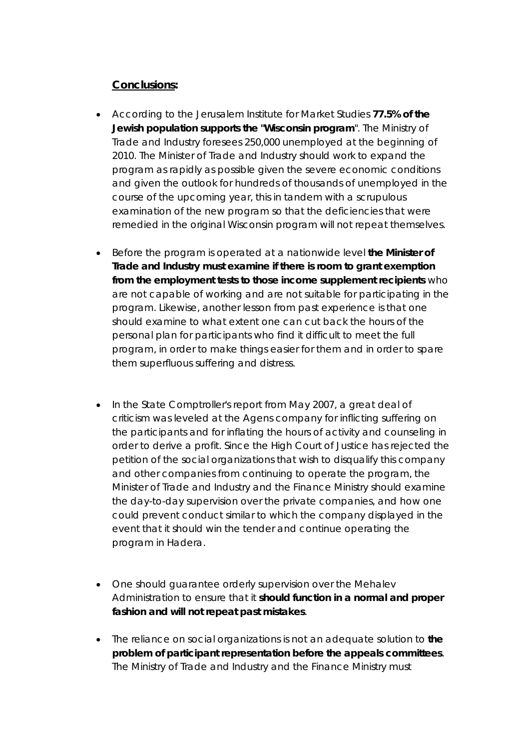## **Conclusions:**

- According to the Jerusalem Institute for Market Studies **77.5% of the Jewish population supports the "Wisconsin program**". The Ministry of Trade and Industry foresees 250,000 unemployed at the beginning of 2010. The Minister of Trade and Industry should work to expand the program as rapidly as possible given the severe economic conditions and given the outlook for hundreds of thousands of unemployed in the course of the upcoming year, this in tandem with a scrupulous examination of the new program so that the deficiencies that were remedied in the original Wisconsin program will not repeat themselves.
- Before the program is operated at a nationwide level **the Minister of Trade and Industry must examine if there is room to grant exemption from the employment tests to those income supplement recipients** who are not capable of working and are not suitable for participating in the program. Likewise, another lesson from past experience is that one should examine to what extent one can cut back the hours of the personal plan for participants who find it difficult to meet the full program, in order to make things easier for them and in order to spare them superfluous suffering and distress.
- In the State Comptroller's report from May 2007, a great deal of criticism was leveled at the Agens company for inflicting suffering on the participants and for inflating the hours of activity and counseling in order to derive a profit. Since the High Court of Justice has rejected the petition of the social organizations that wish to disqualify this company and other companies from continuing to operate the program, the Minister of Trade and Industry and the Finance Ministry should examine the day-to-day supervision over the private companies, and how one could prevent conduct similar to which the company displayed in the event that it should win the tender and continue operating the program in Hadera.
- One should guarantee orderly supervision over the *Mehalev* Administration to ensure that it **should function in a normal and proper fashion and will not repeat past mistakes**.
- The reliance on social organizations is not an adequate solution to **the problem of participant representation before the appeals committees**. The Ministry of Trade and Industry and the Finance Ministry must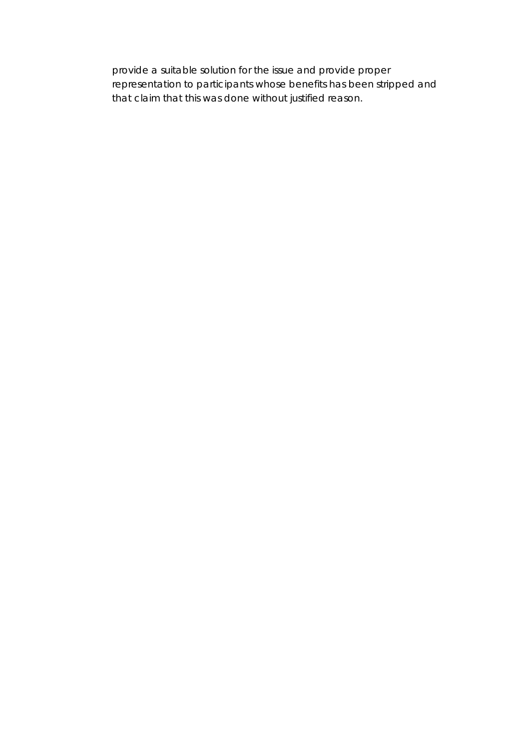provide a suitable solution for the issue and provide proper representation to participants whose benefits has been stripped and that claim that this was done without justified reason.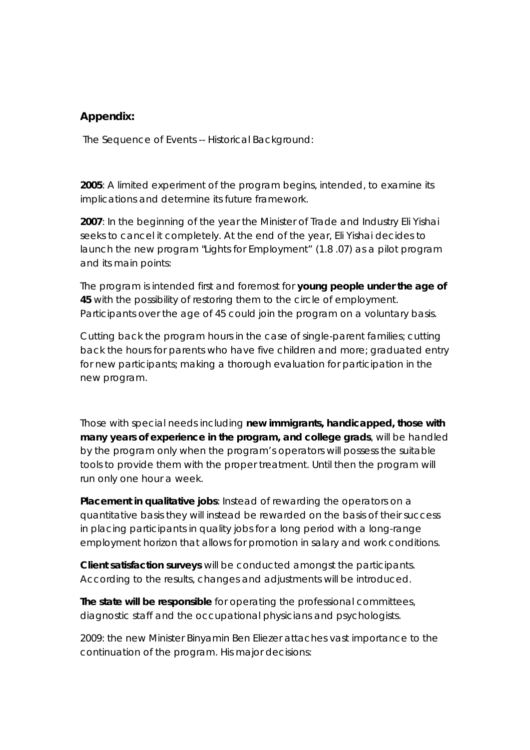## **Appendix:**

The Sequence of Events -- Historical Background:

**2005**: A limited experiment of the program begins, intended, to examine its implications and determine its future framework.

**2007**: In the beginning of the year the Minister of Trade and Industry Eli Yishai seeks to cancel it completely. At the end of the year, Eli Yishai decides to launch the new program "Lights for Employment" (1.8 .07) as a pilot program and its main points:

The program is intended first and foremost for **young people under the age of 45** with the possibility of restoring them to the circle of employment. Participants over the age of 45 could join the program on a voluntary basis.

Cutting back the program hours in the case of single-parent families; cutting back the hours for parents who have five children and more; graduated entry for new participants; making a thorough evaluation for participation in the new program.

Those with special needs including **new immigrants, handicapped, those with many years of experience in the program, and college grads**, will be handled by the program only when the program's operators will possess the suitable tools to provide them with the proper treatment. Until then the program will run only one hour a week.

**Placement in qualitative jobs**: Instead of rewarding the operators on a quantitative basis they will instead be rewarded on the basis of their success in placing participants in quality jobs for a long period with a long-range employment horizon that allows for promotion in salary and work conditions.

**Client satisfaction surveys** will be conducted amongst the participants. According to the results, changes and adjustments will be introduced.

**The state will be responsible** for operating the professional committees, diagnostic staff and the occupational physicians and psychologists.

2009: the new Minister Binyamin Ben Eliezer attaches vast importance to the continuation of the program. His major decisions: